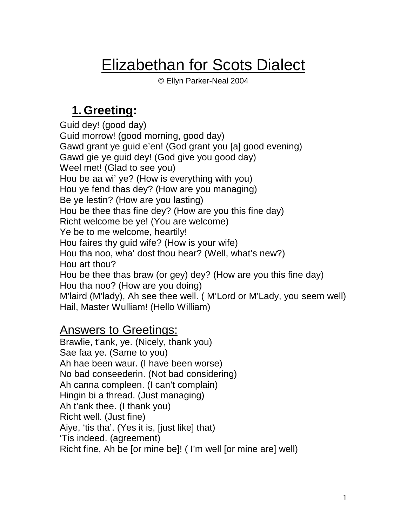# Elizabethan for Scots Dialect

© Ellyn Parker-Neal 2004

#### **1. Greeting:**

Guid dey! (good day) Guid morrow! (good morning, good day) Gawd grant ye guid e'en! (God grant you [a] good evening) Gawd gie ye guid dey! (God give you good day) Weel met! (Glad to see you) Hou be aa wi' ye? (How is everything with you) Hou ye fend thas dey? (How are you managing) Be ye lestin? (How are you lasting) Hou be thee thas fine dey? (How are you this fine day) Richt welcome be ye! (You are welcome) Ye be to me welcome, heartily! Hou faires thy guid wife? (How is your wife) Hou tha noo, wha' dost thou hear? (Well, what's new?) Hou art thou? Hou be thee thas braw (or gey) dey? (How are you this fine day) Hou tha noo? (How are you doing) M'laird (M'lady), Ah see thee well. ( M'Lord or M'Lady, you seem well) Hail, Master Wulliam! (Hello William)

#### Answers to Greetings:

Brawlie, t'ank, ye. (Nicely, thank you) Sae faa ye. (Same to you) Ah hae been waur. (I have been worse) No bad conseederin. (Not bad considering) Ah canna compleen. (I can't complain) Hingin bi a thread. (Just managing) Ah t'ank thee. (I thank you) Richt well. (Just fine) Aiye, 'tis tha'. (Yes it is, [just like] that) 'Tis indeed. (agreement) Richt fine, Ah be [or mine be]! ( I'm well [or mine are] well)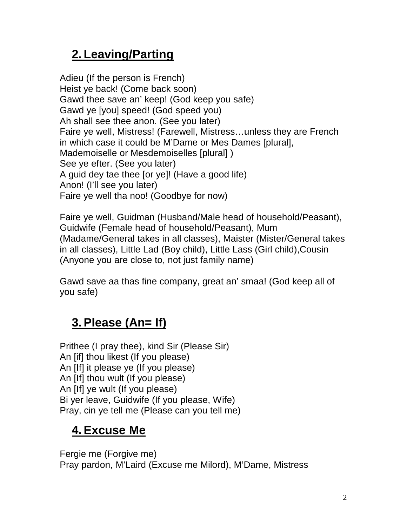# **2. Leaving/Parting**

Adieu (If the person is French) Heist ye back! (Come back soon) Gawd thee save an' keep! (God keep you safe) Gawd ye [you] speed! (God speed you) Ah shall see thee anon. (See you later) Faire ye well, Mistress! (Farewell, Mistress… unless they are French in which case it could be M'Dame or Mes Dames [plural], Mademoiselle or Mesdemoiselles [plural] ) See ye efter. (See you later) A guid dey tae thee [or ye]! (Have a good life) Anon! (I'll see you later) Faire ye well tha noo! (Goodbye for now)

Faire ye well, Guidman (Husband/Male head of household/Peasant), Guidwife (Female head of household/Peasant), Mum (Madame/General takes in all classes), Maister (Mister/General takes in all classes), Little Lad (Boy child), Little Lass (Girl child),Cousin (Anyone you are close to, not just family name)

Gawd save aa thas fine company, great an' smaa! (God keep all of you safe)

### **3.Please (An= If)**

Prithee (I pray thee), kind Sir (Please Sir) An [if] thou likest (If you please) An [If] it please ye (If you please) An [If] thou wult (If you please) An [If] ye wult (If you please) Bi yer leave, Guidwife (If you please, Wife) Pray, cin ye tell me (Please can you tell me)

# **4.Excuse Me**

Fergie me (Forgive me) Pray pardon, M'Laird (Excuse me Milord), M'Dame, Mistress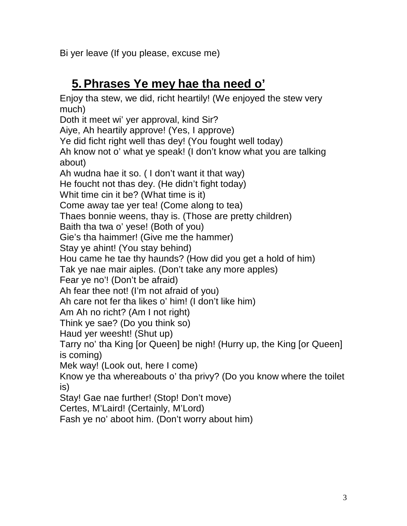Bi yer leave (If you please, excuse me)

### **5.Phrases Ye mey hae tha need o'**

Enjoy tha stew, we did, richt heartily! (We enjoyed the stew very much) Doth it meet wi' yer approval, kind Sir? Aiye, Ah heartily approve! (Yes, I approve) Ye did ficht right well thas dey! (You fought well today) Ah know not o' what ye speak! (I don't know what you are talking about) Ah wudna hae it so. ( I don't want it that way) He foucht not thas dey. (He didn't fight today) Whit time cin it be? (What time is it) Come away tae yer tea! (Come along to tea) Thaes bonnie weens, thay is. (Those are pretty children) Baith tha twa o' yese! (Both of you) Gie's tha haimmer! (Give me the hammer) Stay ye ahint! (You stay behind) Hou came he tae thy haunds? (How did you get a hold of him) Tak ye nae mair aiples. (Don't take any more apples) Fear ye no'! (Don't be afraid) Ah fear thee not! (I'm not afraid of you) Ah care not fer tha likes o' him! (I don't like him) Am Ah no richt? (Am I not right) Think ye sae? (Do you think so) Haud yer weesht! (Shut up) Tarry no' tha King [or Queen] be nigh! (Hurry up, the King [or Queen] is coming) Mek way! (Look out, here I come) Know ye tha whereabouts o' tha privy? (Do you know where the toilet is) Stay! Gae nae further! (Stop! Don't move) Certes, M'Laird! (Certainly, M'Lord) Fash ye no' aboot him. (Don't worry about him)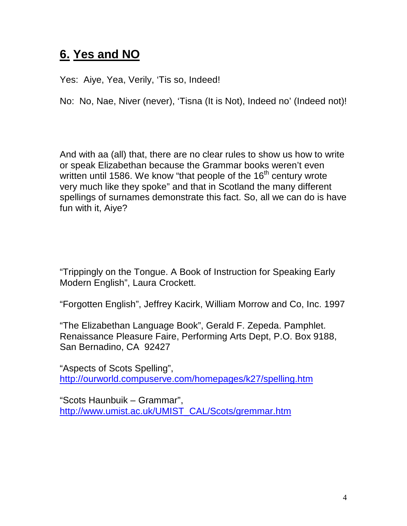#### **6. Yes and NO**

Yes: Aiye, Yea, Verily, 'Tis so, Indeed!

No: No, Nae, Niver (never), 'Tisna (It is Not), Indeed no' (Indeed not)!

And with aa (all) that, there are no clear rules to show us how to write or speak Elizabethan because the Grammar books weren't even written until 1586. We know "that people of the  $16<sup>th</sup>$  century wrote very much like they spoke" and that in Scotland the many different spellings of surnames demonstrate this fact. So, all we can do is have fun with it, Aiye?

"Trippingly on the Tongue. A Book of Instruction for Speaking Early Modern English", Laura Crockett.

"Forgotten English", Jeffrey Kacirk, William Morrow and Co, Inc. 1997

"The Elizabethan Language Book", Gerald F. Zepeda. Pamphlet. Renaissance Pleasure Faire, Performing Arts Dept, P.O. Box 9188, San Bernadino, CA 92427

"Aspects of Scots Spelling", http://ourworld.compuserve.com/homepages/k27/spelling.htm

"Scots Haunbuik – Grammar", http://www.umist.ac.uk/UMIST\_CAL/Scots/gremmar.htm